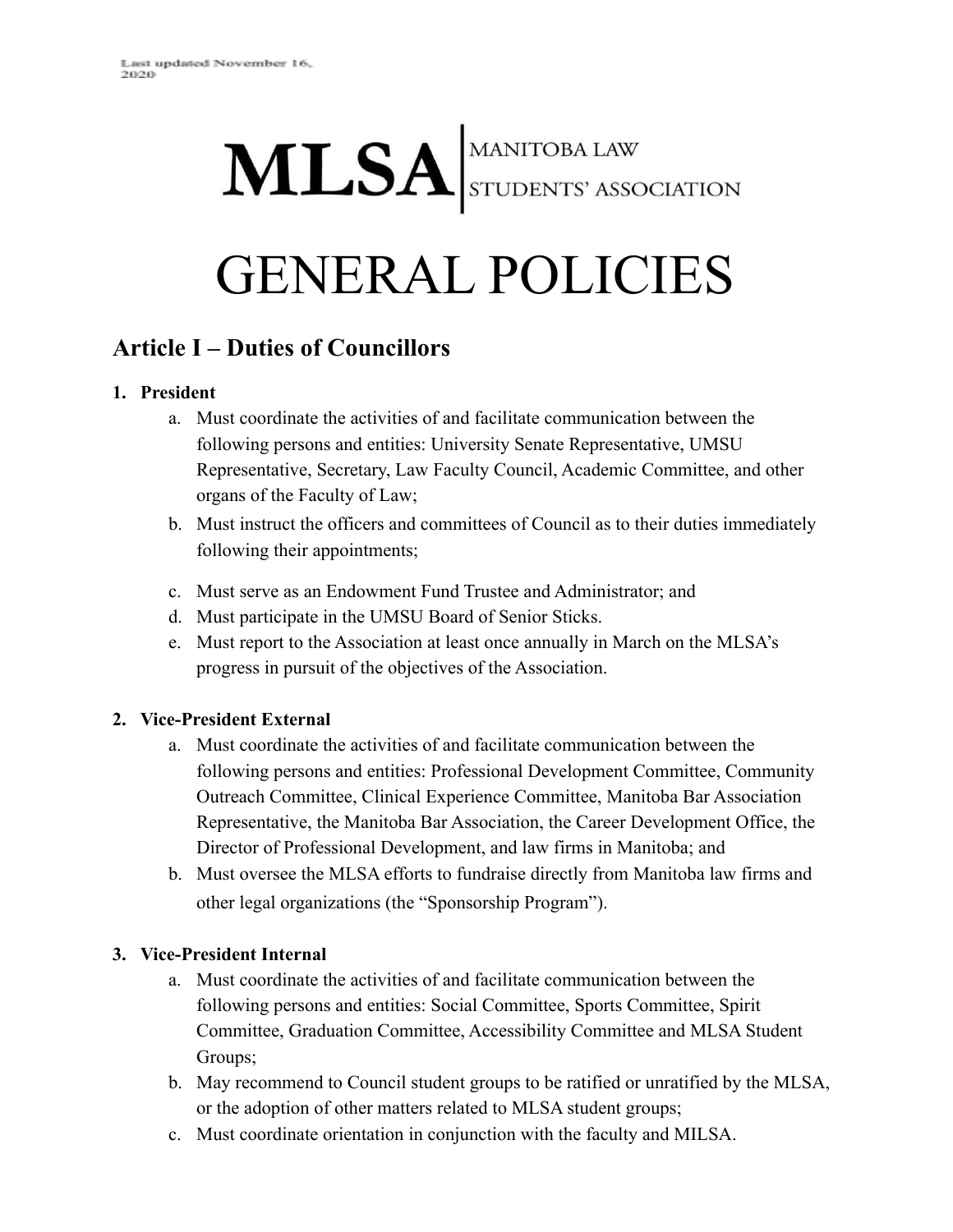# MLSA STUDENTS' ASSOCIATION

# GENERAL POLICIES

# **Article I – Duties of Councillors**

#### **1. President**

- a. Must coordinate the activities of and facilitate communication between the following persons and entities: University Senate Representative, UMSU Representative, Secretary, Law Faculty Council, Academic Committee, and other organs of the Faculty of Law;
- b. Must instruct the officers and committees of Council as to their duties immediately following their appointments;
- c. Must serve as an Endowment Fund Trustee and Administrator; and
- d. Must participate in the UMSU Board of Senior Sticks.
- e. Must report to the Association at least once annually in March on the MLSA's progress in pursuit of the objectives of the Association.

#### **2. Vice-President External**

- a. Must coordinate the activities of and facilitate communication between the following persons and entities: Professional Development Committee, Community Outreach Committee, Clinical Experience Committee, Manitoba Bar Association Representative, the Manitoba Bar Association, the Career Development Office, the Director of Professional Development, and law firms in Manitoba; and
- b. Must oversee the MLSA efforts to fundraise directly from Manitoba law firms and other legal organizations (the "Sponsorship Program").

#### **3. Vice-President Internal**

- a. Must coordinate the activities of and facilitate communication between the following persons and entities: Social Committee, Sports Committee, Spirit Committee, Graduation Committee, Accessibility Committee and MLSA Student Groups;
- b. May recommend to Council student groups to be ratified or unratified by the MLSA, or the adoption of other matters related to MLSA student groups;
- c. Must coordinate orientation in conjunction with the faculty and MILSA.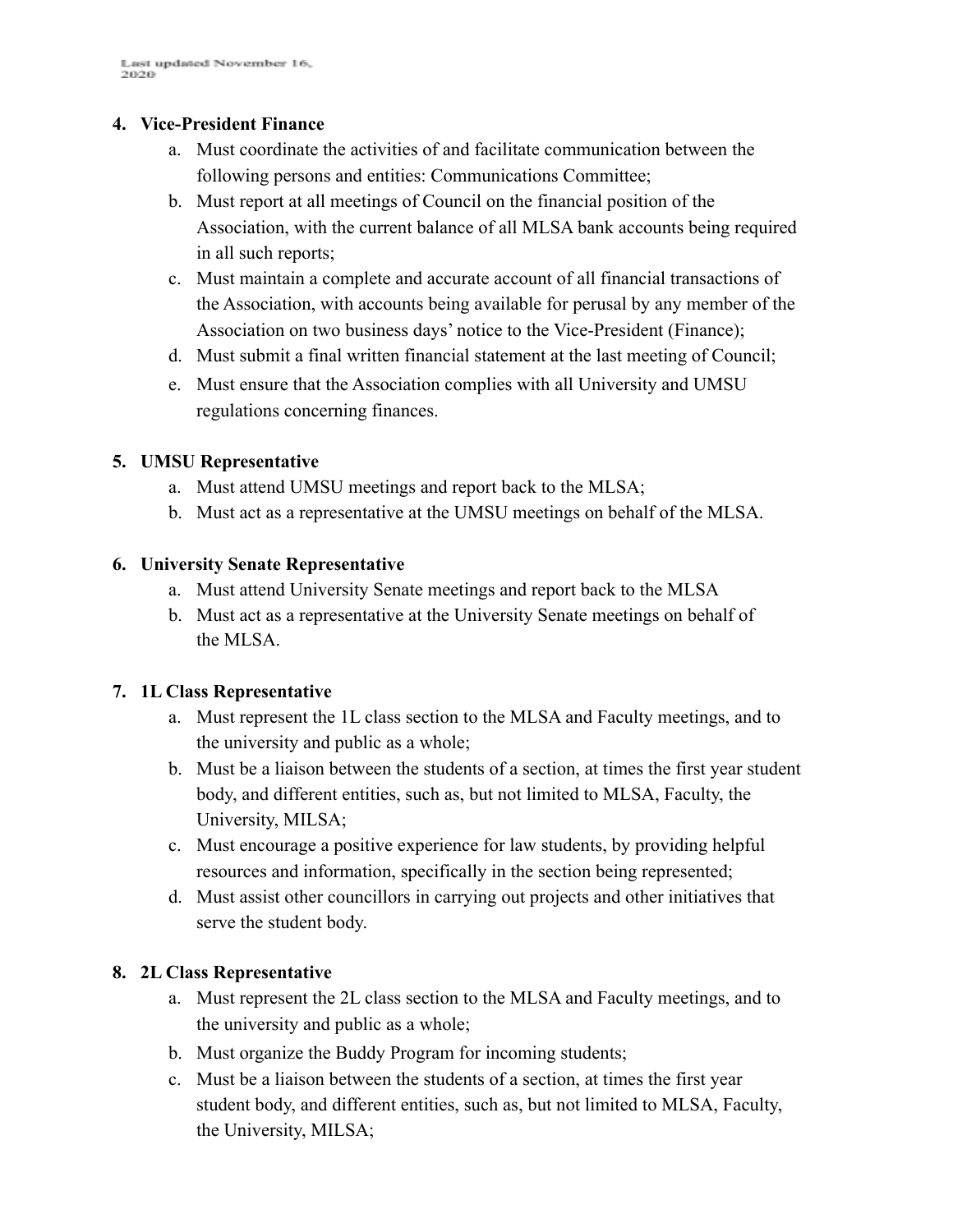#### **4. Vice-President Finance**

- a. Must coordinate the activities of and facilitate communication between the following persons and entities: Communications Committee;
- b. Must report at all meetings of Council on the financial position of the Association, with the current balance of all MLSA bank accounts being required in all such reports;
- c. Must maintain a complete and accurate account of all financial transactions of the Association, with accounts being available for perusal by any member of the Association on two business days' notice to the Vice-President (Finance);
- d. Must submit a final written financial statement at the last meeting of Council;
- e. Must ensure that the Association complies with all University and UMSU regulations concerning finances.

#### **5. UMSU Representative**

- a. Must attend UMSU meetings and report back to the MLSA;
- b. Must act as a representative at the UMSU meetings on behalf of the MLSA.

#### **6. University Senate Representative**

- a. Must attend University Senate meetings and report back to the MLSA
- b. Must act as a representative at the University Senate meetings on behalf of the MLSA.

#### **7. 1L Class Representative**

- a. Must represent the 1L class section to the MLSA and Faculty meetings, and to the university and public as a whole;
- b. Must be a liaison between the students of a section, at times the first year student body, and different entities, such as, but not limited to MLSA, Faculty, the University, MILSA;
- c. Must encourage a positive experience for law students, by providing helpful resources and information, specifically in the section being represented;
- d. Must assist other councillors in carrying out projects and other initiatives that serve the student body.

#### **8. 2L Class Representative**

- a. Must represent the 2L class section to the MLSA and Faculty meetings, and to the university and public as a whole;
- b. Must organize the Buddy Program for incoming students;
- c. Must be a liaison between the students of a section, at times the first year student body, and different entities, such as, but not limited to MLSA, Faculty, the University, MILSA;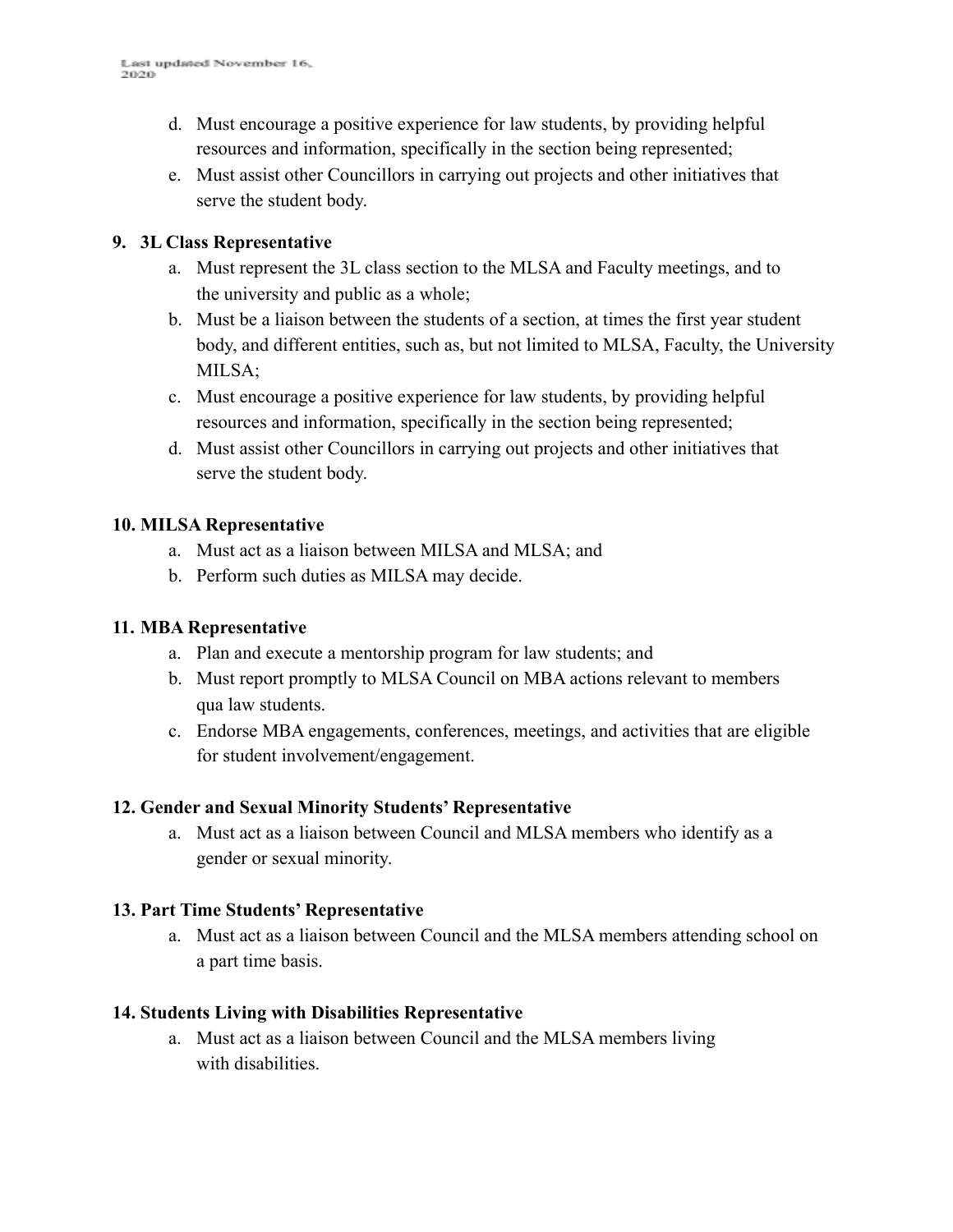- d. Must encourage a positive experience for law students, by providing helpful resources and information, specifically in the section being represented;
- e. Must assist other Councillors in carrying out projects and other initiatives that serve the student body.

#### **9. 3L Class Representative**

- a. Must represent the 3L class section to the MLSA and Faculty meetings, and to the university and public as a whole;
- b. Must be a liaison between the students of a section, at times the first year student body, and different entities, such as, but not limited to MLSA, Faculty, the University MILSA;
- c. Must encourage a positive experience for law students, by providing helpful resources and information, specifically in the section being represented;
- d. Must assist other Councillors in carrying out projects and other initiatives that serve the student body.

#### **10. MILSA Representative**

- a. Must act as a liaison between MILSA and MLSA; and
- b. Perform such duties as MILSA may decide.

#### **11. MBA Representative**

- a. Plan and execute a mentorship program for law students; and
- b. Must report promptly to MLSA Council on MBA actions relevant to members qua law students.
- c. Endorse MBA engagements, conferences, meetings, and activities that are eligible for student involvement/engagement.

#### **12. Gender and Sexual Minority Students' Representative**

a. Must act as a liaison between Council and MLSA members who identify as a gender or sexual minority.

#### **13. Part Time Students' Representative**

a. Must act as a liaison between Council and the MLSA members attending school on a part time basis.

#### **14. Students Living with Disabilities Representative**

a. Must act as a liaison between Council and the MLSA members living with disabilities.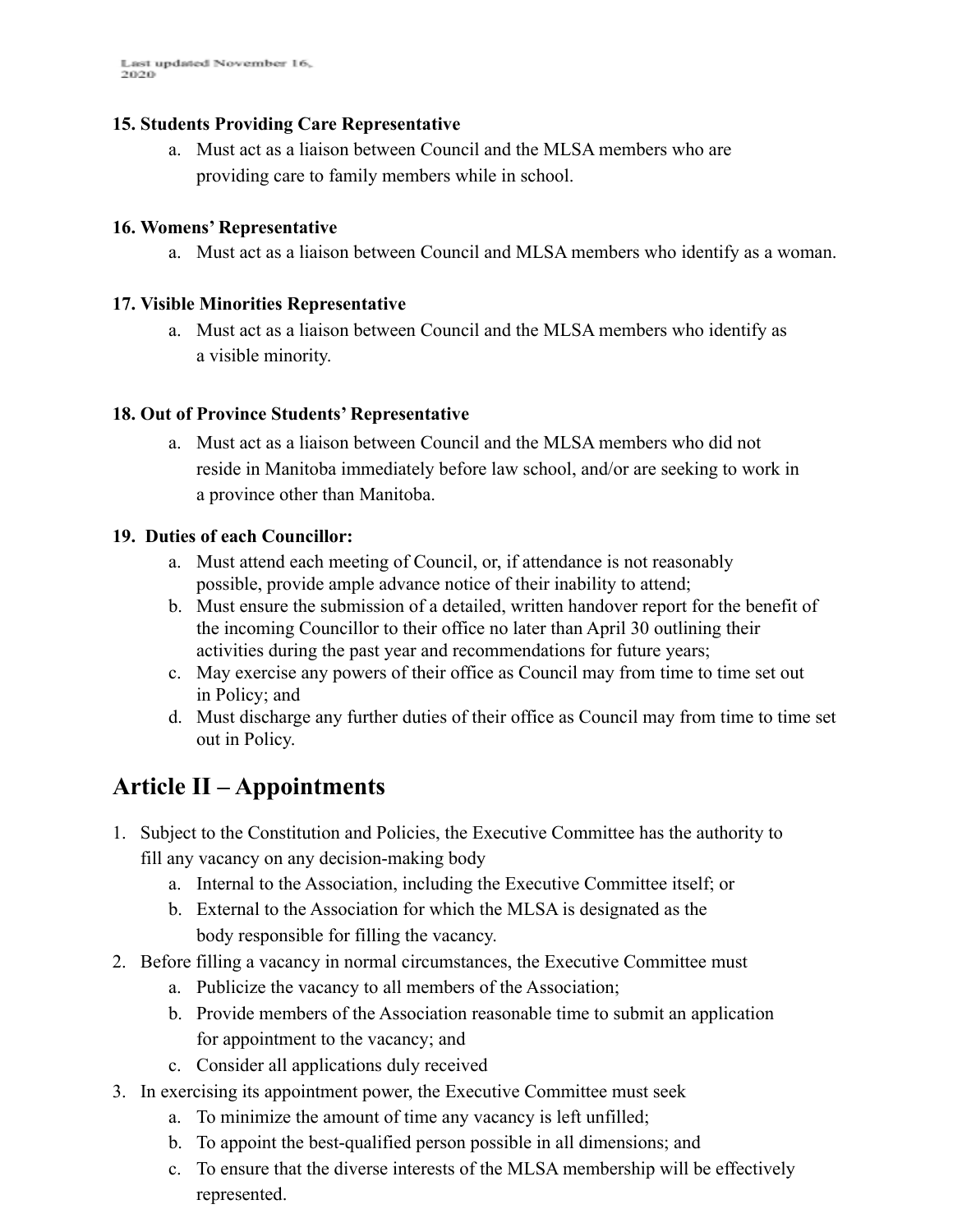#### **15. Students Providing Care Representative**

a. Must act as a liaison between Council and the MLSA members who are providing care to family members while in school.

#### **16. Womens' Representative**

a. Must act as a liaison between Council and MLSA members who identify as a woman.

#### **17. Visible Minorities Representative**

a. Must act as a liaison between Council and the MLSA members who identify as a visible minority.

#### **18. Out of Province Students' Representative**

a. Must act as a liaison between Council and the MLSA members who did not reside in Manitoba immediately before law school, and/or are seeking to work in a province other than Manitoba.

#### **19. Duties of each Councillor:**

- a. Must attend each meeting of Council, or, if attendance is not reasonably possible, provide ample advance notice of their inability to attend;
- b. Must ensure the submission of a detailed, written handover report for the benefit of the incoming Councillor to their office no later than April 30 outlining their activities during the past year and recommendations for future years;
- c. May exercise any powers of their office as Council may from time to time set out in Policy; and
- d. Must discharge any further duties of their office as Council may from time to time set out in Policy.

## **Article II – Appointments**

- 1. Subject to the Constitution and Policies, the Executive Committee has the authority to fill any vacancy on any decision-making body
	- a. Internal to the Association, including the Executive Committee itself; or
	- b. External to the Association for which the MLSA is designated as the body responsible for filling the vacancy.
- 2. Before filling a vacancy in normal circumstances, the Executive Committee must
	- a. Publicize the vacancy to all members of the Association;
	- b. Provide members of the Association reasonable time to submit an application for appointment to the vacancy; and
	- c. Consider all applications duly received
- 3. In exercising its appointment power, the Executive Committee must seek
	- a. To minimize the amount of time any vacancy is left unfilled;
	- b. To appoint the best-qualified person possible in all dimensions; and
	- c. To ensure that the diverse interests of the MLSA membership will be effectively represented.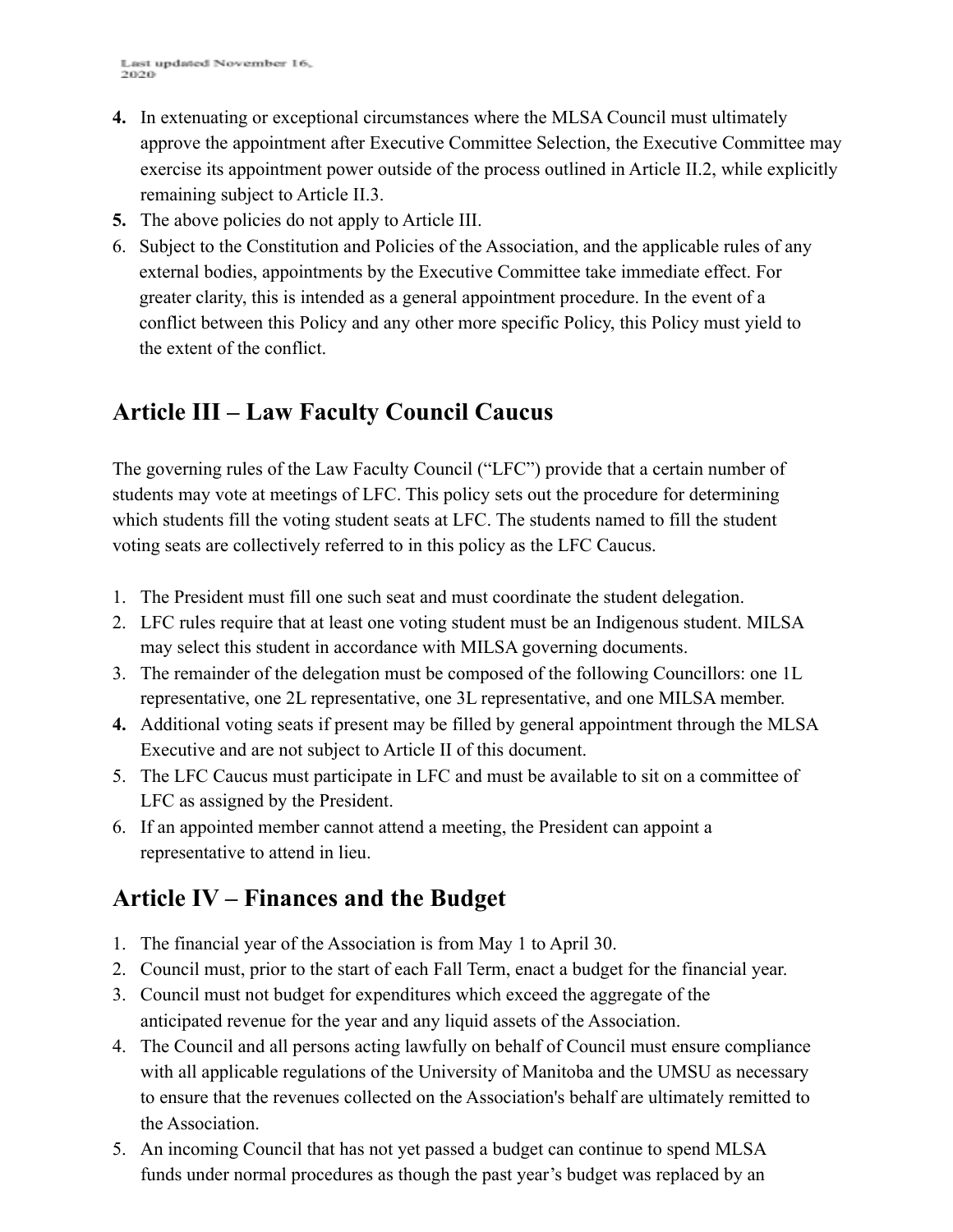- **4.** In extenuating or exceptional circumstances where the MLSA Council must ultimately approve the appointment after Executive Committee Selection, the Executive Committee may exercise its appointment power outside of the process outlined in Article II.2, while explicitly remaining subject to Article II.3.
- **5.** The above policies do not apply to Article III.
- 6. Subject to the Constitution and Policies of the Association, and the applicable rules of any external bodies, appointments by the Executive Committee take immediate effect. For greater clarity, this is intended as a general appointment procedure. In the event of a conflict between this Policy and any other more specific Policy, this Policy must yield to the extent of the conflict.

# **Article III – Law Faculty Council Caucus**

The governing rules of the Law Faculty Council ("LFC") provide that a certain number of students may vote at meetings of LFC. This policy sets out the procedure for determining which students fill the voting student seats at LFC. The students named to fill the student voting seats are collectively referred to in this policy as the LFC Caucus.

- 1. The President must fill one such seat and must coordinate the student delegation.
- 2. LFC rules require that at least one voting student must be an Indigenous student. MILSA may select this student in accordance with MILSA governing documents.
- 3. The remainder of the delegation must be composed of the following Councillors: one 1L representative, one 2L representative, one 3L representative, and one MILSA member.
- **4.** Additional voting seats if present may be filled by general appointment through the MLSA Executive and are not subject to Article II of this document.
- 5. The LFC Caucus must participate in LFC and must be available to sit on a committee of LFC as assigned by the President.
- 6. If an appointed member cannot attend a meeting, the President can appoint a representative to attend in lieu.

# **Article IV – Finances and the Budget**

- 1. The financial year of the Association is from May 1 to April 30.
- 2. Council must, prior to the start of each Fall Term, enact a budget for the financial year.
- 3. Council must not budget for expenditures which exceed the aggregate of the anticipated revenue for the year and any liquid assets of the Association.
- 4. The Council and all persons acting lawfully on behalf of Council must ensure compliance with all applicable regulations of the University of Manitoba and the UMSU as necessary to ensure that the revenues collected on the Association's behalf are ultimately remitted to the Association.
- 5. An incoming Council that has not yet passed a budget can continue to spend MLSA funds under normal procedures as though the past year's budget was replaced by an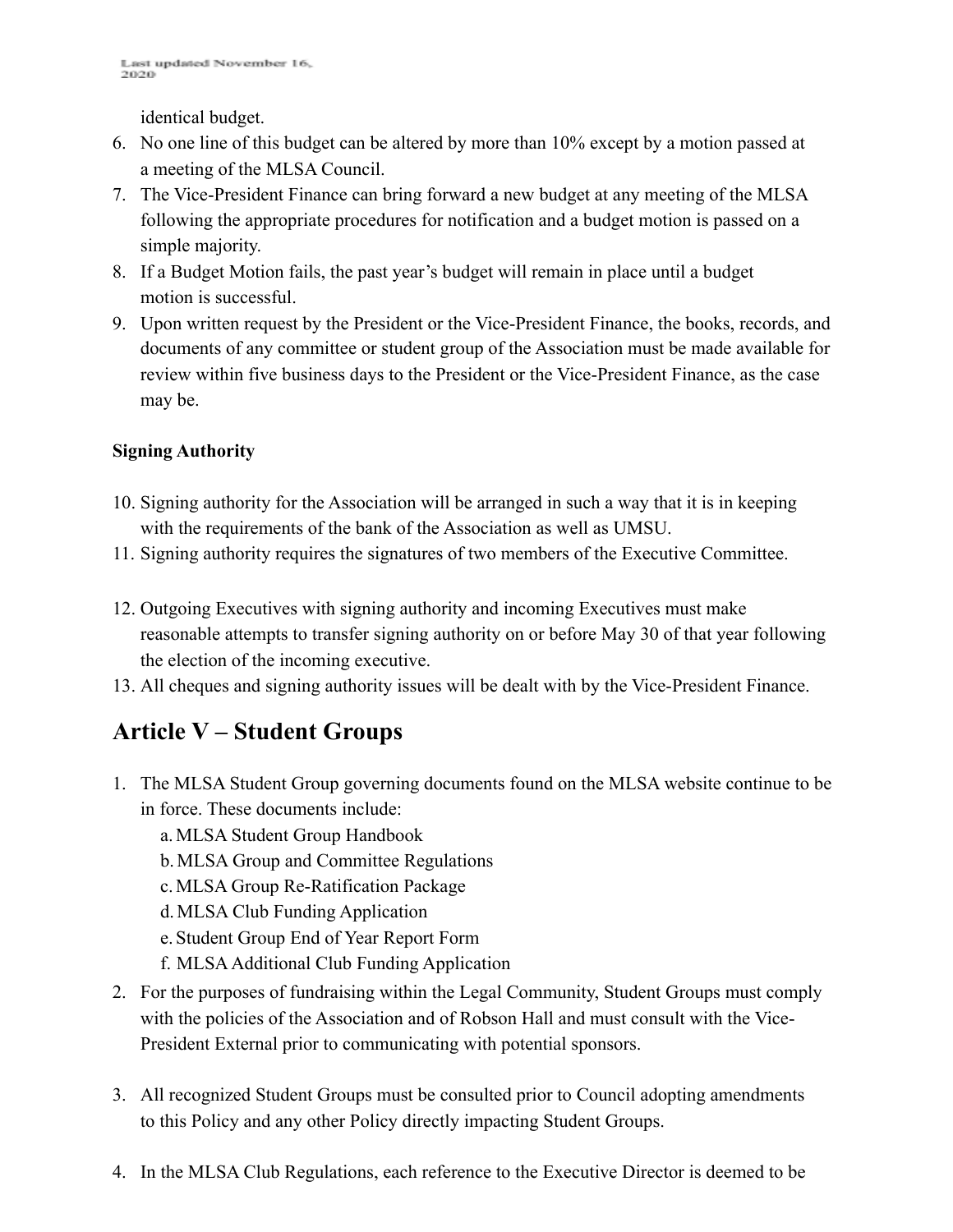identical budget.

- 6. No one line of this budget can be altered by more than 10% except by a motion passed at a meeting of the MLSA Council.
- 7. The Vice-President Finance can bring forward a new budget at any meeting of the MLSA following the appropriate procedures for notification and a budget motion is passed on a simple majority.
- 8. If a Budget Motion fails, the past year's budget will remain in place until a budget motion is successful.
- 9. Upon written request by the President or the Vice-President Finance, the books, records, and documents of any committee or student group of the Association must be made available for review within five business days to the President or the Vice-President Finance, as the case may be.

#### **Signing Authority**

- 10. Signing authority for the Association will be arranged in such a way that it is in keeping with the requirements of the bank of the Association as well as UMSU.
- 11. Signing authority requires the signatures of two members of the Executive Committee.
- 12. Outgoing Executives with signing authority and incoming Executives must make reasonable attempts to transfer signing authority on or before May 30 of that year following the election of the incoming executive.
- 13. All cheques and signing authority issues will be dealt with by the Vice-President Finance.

# **Article V – Student Groups**

- 1. The MLSA Student Group governing documents found on the MLSA website continue to be in force. These documents include:
	- a.MLSA Student Group Handbook
	- b.MLSA Group and Committee Regulations
	- c.MLSA Group Re-Ratification Package
	- d.MLSA Club Funding Application
	- e. Student Group End of Year Report Form
	- f. MLSAAdditional Club Funding Application
- 2. For the purposes of fundraising within the Legal Community, Student Groups must comply with the policies of the Association and of Robson Hall and must consult with the Vice-President External prior to communicating with potential sponsors.
- 3. All recognized Student Groups must be consulted prior to Council adopting amendments to this Policy and any other Policy directly impacting Student Groups.
- 4. In the MLSA Club Regulations, each reference to the Executive Director is deemed to be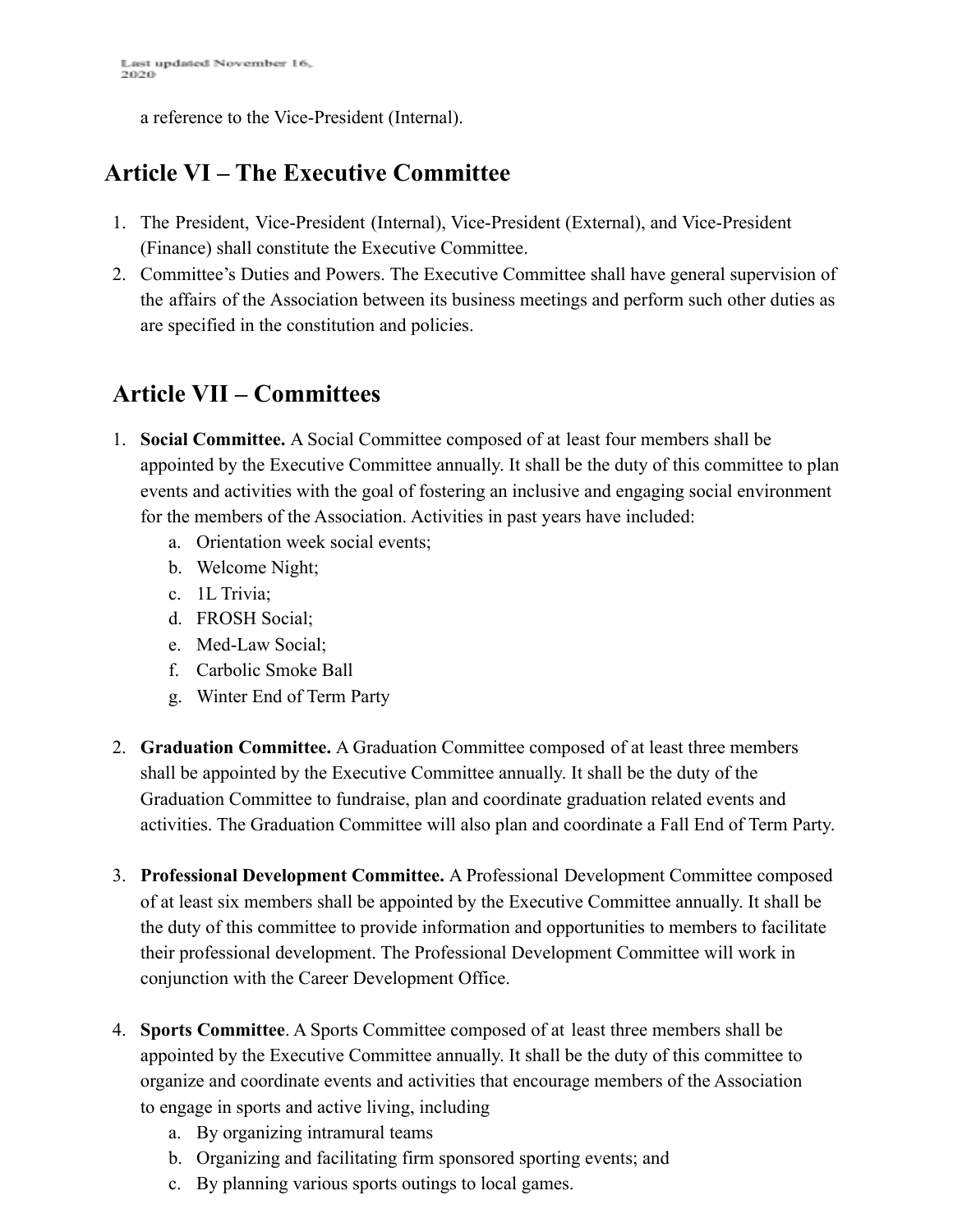a reference to the Vice-President (Internal).

# **Article VI – The Executive Committee**

- 1. The President, Vice-President (Internal), Vice-President (External), and Vice-President (Finance) shall constitute the Executive Committee.
- 2. Committee's Duties and Powers. The Executive Committee shall have general supervision of the affairs of the Association between its business meetings and perform such other duties as are specified in the constitution and policies.

## **Article VII – Committees**

- 1. **Social Committee.** A Social Committee composed of at least four members shall be appointed by the Executive Committee annually. It shall be the duty of this committee to plan events and activities with the goal of fostering an inclusive and engaging social environment for the members of the Association. Activities in past years have included:
	- a. Orientation week social events;
	- b. Welcome Night;
	- c. 1L Trivia;
	- d. FROSH Social;
	- e. Med-Law Social;
	- f. Carbolic Smoke Ball
	- g. Winter End of Term Party
- 2. **Graduation Committee.** A Graduation Committee composed of at least three members shall be appointed by the Executive Committee annually. It shall be the duty of the Graduation Committee to fundraise, plan and coordinate graduation related events and activities. The Graduation Committee will also plan and coordinate a Fall End of Term Party.
- 3. **Professional Development Committee.** A Professional Development Committee composed of at least six members shall be appointed by the Executive Committee annually. It shall be the duty of this committee to provide information and opportunities to members to facilitate their professional development. The Professional Development Committee will work in conjunction with the Career Development Office.
- 4. **Sports Committee**. A Sports Committee composed of at least three members shall be appointed by the Executive Committee annually. It shall be the duty of this committee to organize and coordinate events and activities that encourage members of the Association to engage in sports and active living, including
	- a. By organizing intramural teams
	- b. Organizing and facilitating firm sponsored sporting events; and
	- c. By planning various sports outings to local games.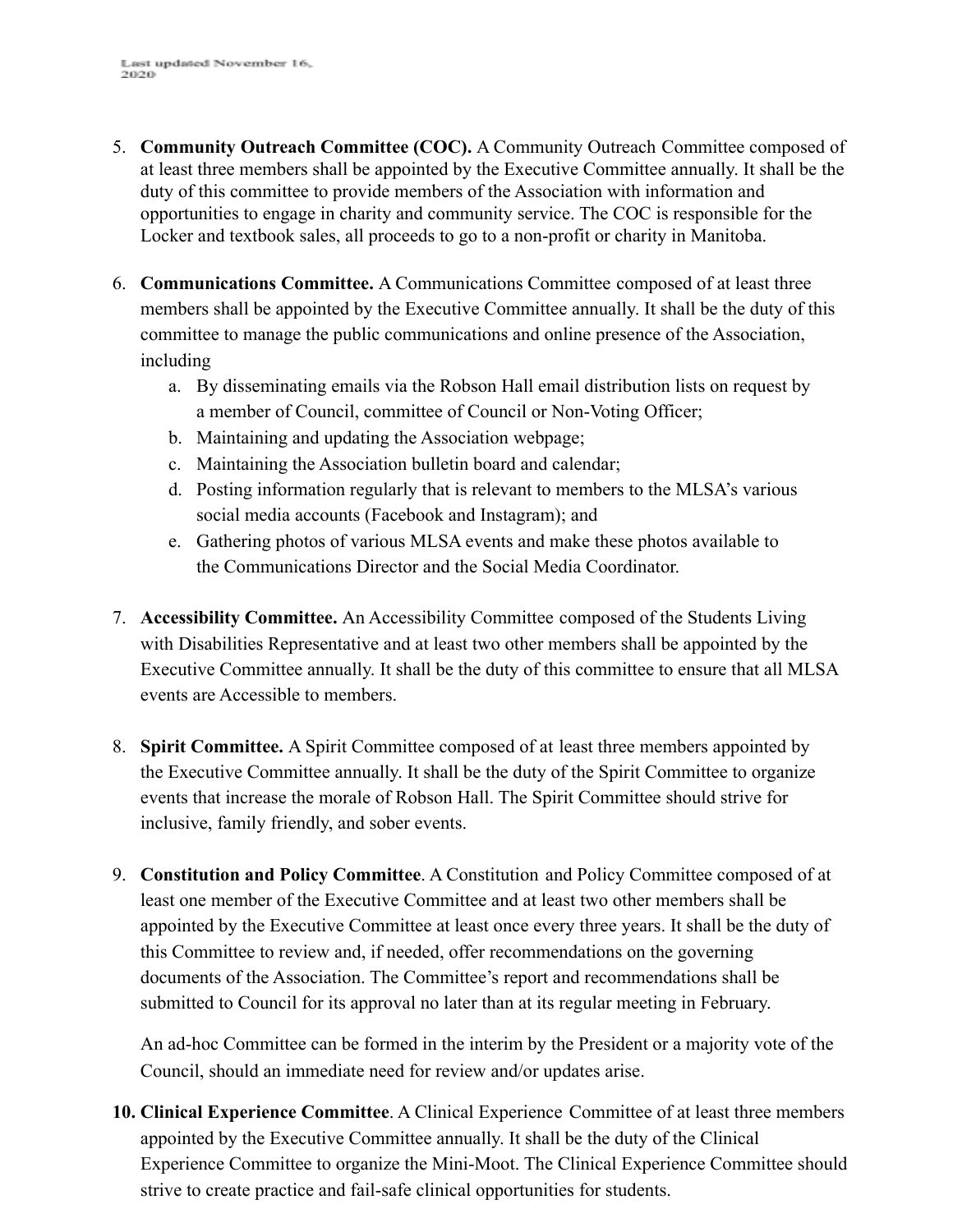- 5. **Community Outreach Committee (COC).** A Community Outreach Committee composed of at least three members shall be appointed by the Executive Committee annually. It shall be the duty of this committee to provide members of the Association with information and opportunities to engage in charity and community service. The COC is responsible for the Locker and textbook sales, all proceeds to go to a non-profit or charity in Manitoba.
- 6. **Communications Committee.** A Communications Committee composed of at least three members shall be appointed by the Executive Committee annually. It shall be the duty of this committee to manage the public communications and online presence of the Association, including
	- a. By disseminating emails via the Robson Hall email distribution lists on request by a member of Council, committee of Council or Non-Voting Officer;
	- b. Maintaining and updating the Association webpage;
	- c. Maintaining the Association bulletin board and calendar;
	- d. Posting information regularly that is relevant to members to the MLSA's various social media accounts (Facebook and Instagram); and
	- e. Gathering photos of various MLSA events and make these photos available to the Communications Director and the Social Media Coordinator.
- 7. **Accessibility Committee.** An Accessibility Committee composed of the Students Living with Disabilities Representative and at least two other members shall be appointed by the Executive Committee annually. It shall be the duty of this committee to ensure that all MLSA events are Accessible to members.
- 8. **Spirit Committee.** A Spirit Committee composed of at least three members appointed by the Executive Committee annually. It shall be the duty of the Spirit Committee to organize events that increase the morale of Robson Hall. The Spirit Committee should strive for inclusive, family friendly, and sober events.
- 9. **Constitution and Policy Committee**. A Constitution and Policy Committee composed of at least one member of the Executive Committee and at least two other members shall be appointed by the Executive Committee at least once every three years. It shall be the duty of this Committee to review and, if needed, offer recommendations on the governing documents of the Association. The Committee's report and recommendations shall be submitted to Council for its approval no later than at its regular meeting in February.

An ad-hoc Committee can be formed in the interim by the President or a majority vote of the Council, should an immediate need for review and/or updates arise.

**10. Clinical Experience Committee**. A Clinical Experience Committee of at least three members appointed by the Executive Committee annually. It shall be the duty of the Clinical Experience Committee to organize the Mini-Moot. The Clinical Experience Committee should strive to create practice and fail-safe clinical opportunities for students.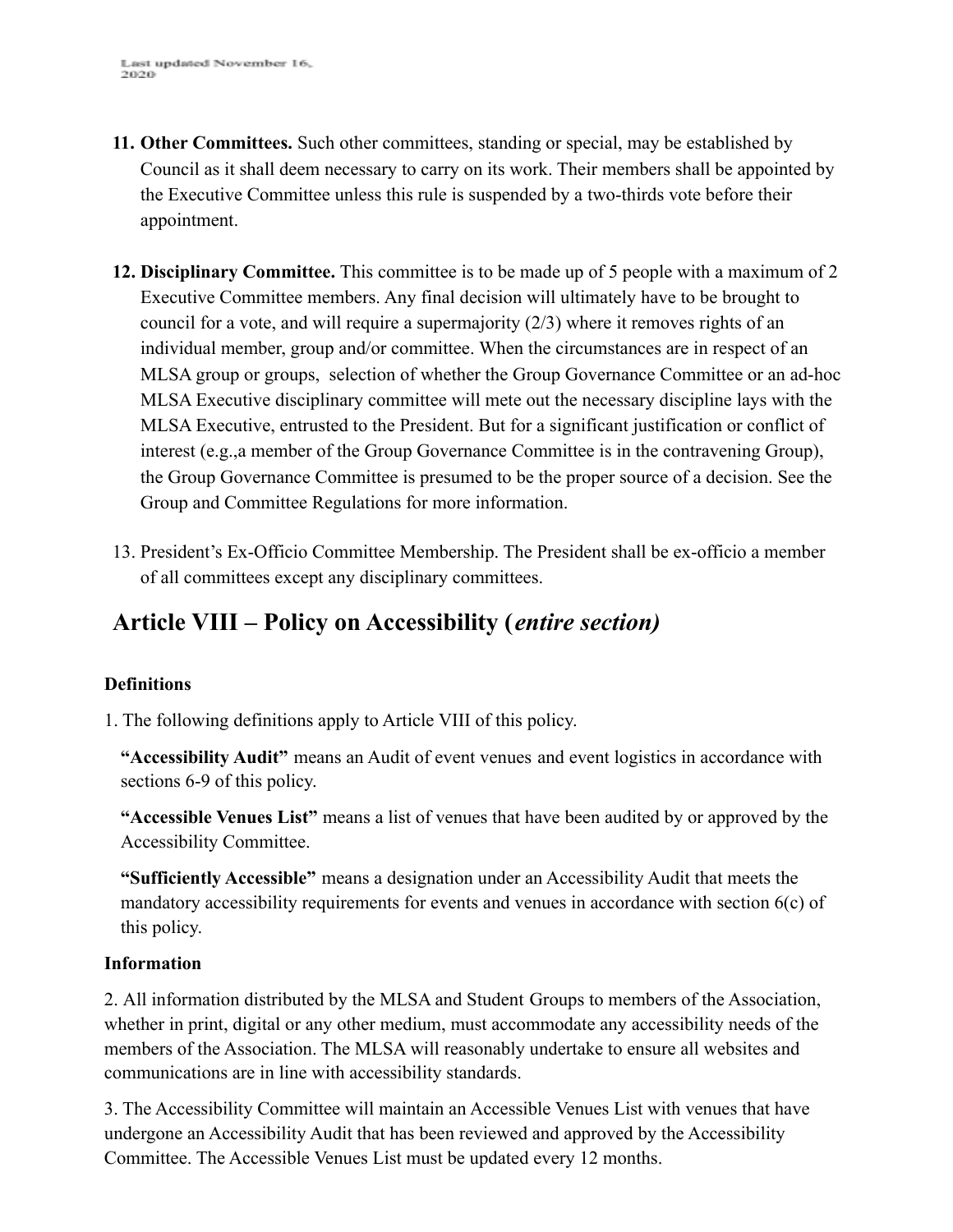- **11. Other Committees.** Such other committees, standing or special, may be established by Council as it shall deem necessary to carry on its work. Their members shall be appointed by the Executive Committee unless this rule is suspended by a two-thirds vote before their appointment.
- **12. Disciplinary Committee.** This committee is to be made up of 5 people with a maximum of 2 Executive Committee members. Any final decision will ultimately have to be brought to council for a vote, and will require a supermajority  $(2/3)$  where it removes rights of an individual member, group and/or committee. When the circumstances are in respect of an MLSA group or groups, selection of whether the Group Governance Committee or an ad-hoc MLSA Executive disciplinary committee will mete out the necessary discipline lays with the MLSA Executive, entrusted to the President. But for a significant justification or conflict of interest (e.g.,a member of the Group Governance Committee is in the contravening Group), the Group Governance Committee is presumed to be the proper source of a decision. See the Group and Committee Regulations for more information.
- 13. President's Ex-Officio Committee Membership. The President shall be ex-officio a member of all committees except any disciplinary committees.

# **Article VIII – Policy on Accessibility (***entire section)*

#### **Definitions**

1. The following definitions apply to Article VIII of this policy.

**"Accessibility Audit"** means an Audit of event venues and event logistics in accordance with sections 6-9 of this policy.

**"Accessible Venues List"** means a list of venues that have been audited by or approved by the Accessibility Committee.

**"Sufficiently Accessible"** means a designation under an Accessibility Audit that meets the mandatory accessibility requirements for events and venues in accordance with section 6(c) of this policy.

#### **Information**

2. All information distributed by the MLSA and Student Groups to members of the Association, whether in print, digital or any other medium, must accommodate any accessibility needs of the members of the Association. The MLSA will reasonably undertake to ensure all websites and communications are in line with accessibility standards.

3. The Accessibility Committee will maintain an Accessible Venues List with venues that have undergone an Accessibility Audit that has been reviewed and approved by the Accessibility Committee. The Accessible Venues List must be updated every 12 months.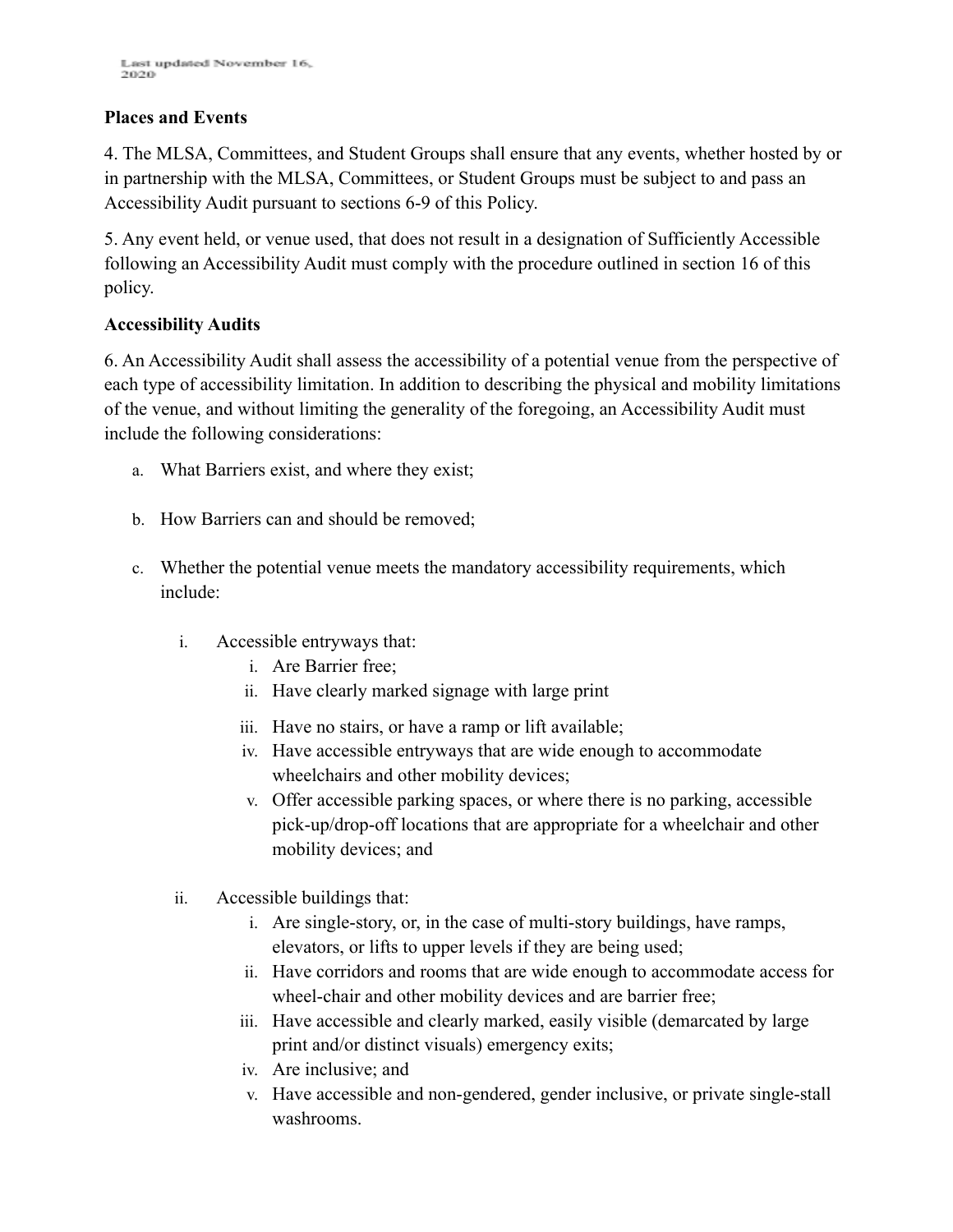#### **Places and Events**

4. The MLSA, Committees, and Student Groups shall ensure that any events, whether hosted by or in partnership with the MLSA, Committees, or Student Groups must be subject to and pass an Accessibility Audit pursuant to sections 6-9 of this Policy.

5. Any event held, or venue used, that does not result in a designation of Sufficiently Accessible following an Accessibility Audit must comply with the procedure outlined in section 16 of this policy.

#### **Accessibility Audits**

6. An Accessibility Audit shall assess the accessibility of a potential venue from the perspective of each type of accessibility limitation. In addition to describing the physical and mobility limitations of the venue, and without limiting the generality of the foregoing, an Accessibility Audit must include the following considerations:

- a. What Barriers exist, and where they exist;
- b. How Barriers can and should be removed;
- c. Whether the potential venue meets the mandatory accessibility requirements, which include:
	- i. Accessible entryways that:
		- i. Are Barrier free;
		- ii. Have clearly marked signage with large print
		- iii. Have no stairs, or have a ramp or lift available;
		- iv. Have accessible entryways that are wide enough to accommodate wheelchairs and other mobility devices;
		- v. Offer accessible parking spaces, or where there is no parking, accessible pick-up/drop-off locations that are appropriate for a wheelchair and other mobility devices; and
	- ii. Accessible buildings that:
		- i. Are single-story, or, in the case of multi-story buildings, have ramps, elevators, or lifts to upper levels if they are being used;
		- ii. Have corridors and rooms that are wide enough to accommodate access for wheel-chair and other mobility devices and are barrier free;
		- iii. Have accessible and clearly marked, easily visible (demarcated by large print and/or distinct visuals) emergency exits;
		- iv. Are inclusive; and
		- v. Have accessible and non-gendered, gender inclusive, or private single-stall washrooms.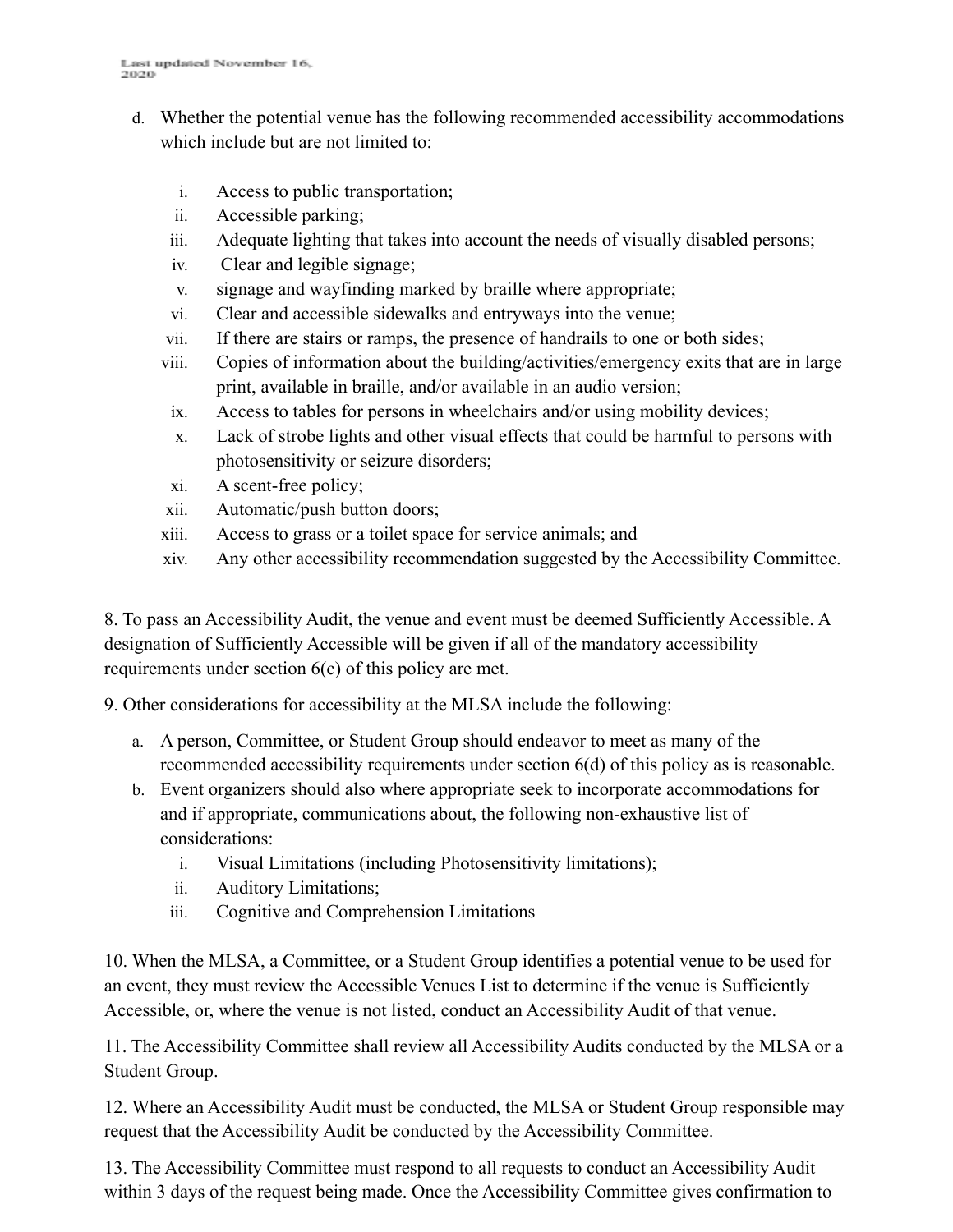- d. Whether the potential venue has the following recommended accessibility accommodations which include but are not limited to:
	- i. Access to public transportation;
	- ii. Accessible parking;
	- iii. Adequate lighting that takes into account the needs of visually disabled persons;
	- iv. Clear and legible signage;
	- v. signage and wayfinding marked by braille where appropriate;
	- vi. Clear and accessible sidewalks and entryways into the venue;
	- vii. If there are stairs or ramps, the presence of handrails to one or both sides;
	- viii. Copies of information about the building/activities/emergency exits that are in large print, available in braille, and/or available in an audio version;
	- ix. Access to tables for persons in wheelchairs and/or using mobility devices;
	- x. Lack of strobe lights and other visual effects that could be harmful to persons with photosensitivity or seizure disorders;
	- xi. A scent-free policy;
	- xii. Automatic/push button doors;
	- xiii. Access to grass or a toilet space for service animals; and
	- xiv. Any other accessibility recommendation suggested by the Accessibility Committee.

8. To pass an Accessibility Audit, the venue and event must be deemed Sufficiently Accessible. A designation of Sufficiently Accessible will be given if all of the mandatory accessibility requirements under section 6(c) of this policy are met.

9. Other considerations for accessibility at the MLSA include the following:

- a. A person, Committee, or Student Group should endeavor to meet as many of the recommended accessibility requirements under section 6(d) of this policy as is reasonable.
- b. Event organizers should also where appropriate seek to incorporate accommodations for and if appropriate, communications about, the following non-exhaustive list of considerations:
	- i. Visual Limitations (including Photosensitivity limitations);
	- ii. Auditory Limitations;
	- iii. Cognitive and Comprehension Limitations

10. When the MLSA, a Committee, or a Student Group identifies a potential venue to be used for an event, they must review the Accessible Venues List to determine if the venue is Sufficiently Accessible, or, where the venue is not listed, conduct an Accessibility Audit of that venue.

11. The Accessibility Committee shall review all Accessibility Audits conducted by the MLSA or a Student Group.

12. Where an Accessibility Audit must be conducted, the MLSA or Student Group responsible may request that the Accessibility Audit be conducted by the Accessibility Committee.

13. The Accessibility Committee must respond to all requests to conduct an Accessibility Audit within 3 days of the request being made. Once the Accessibility Committee gives confirmation to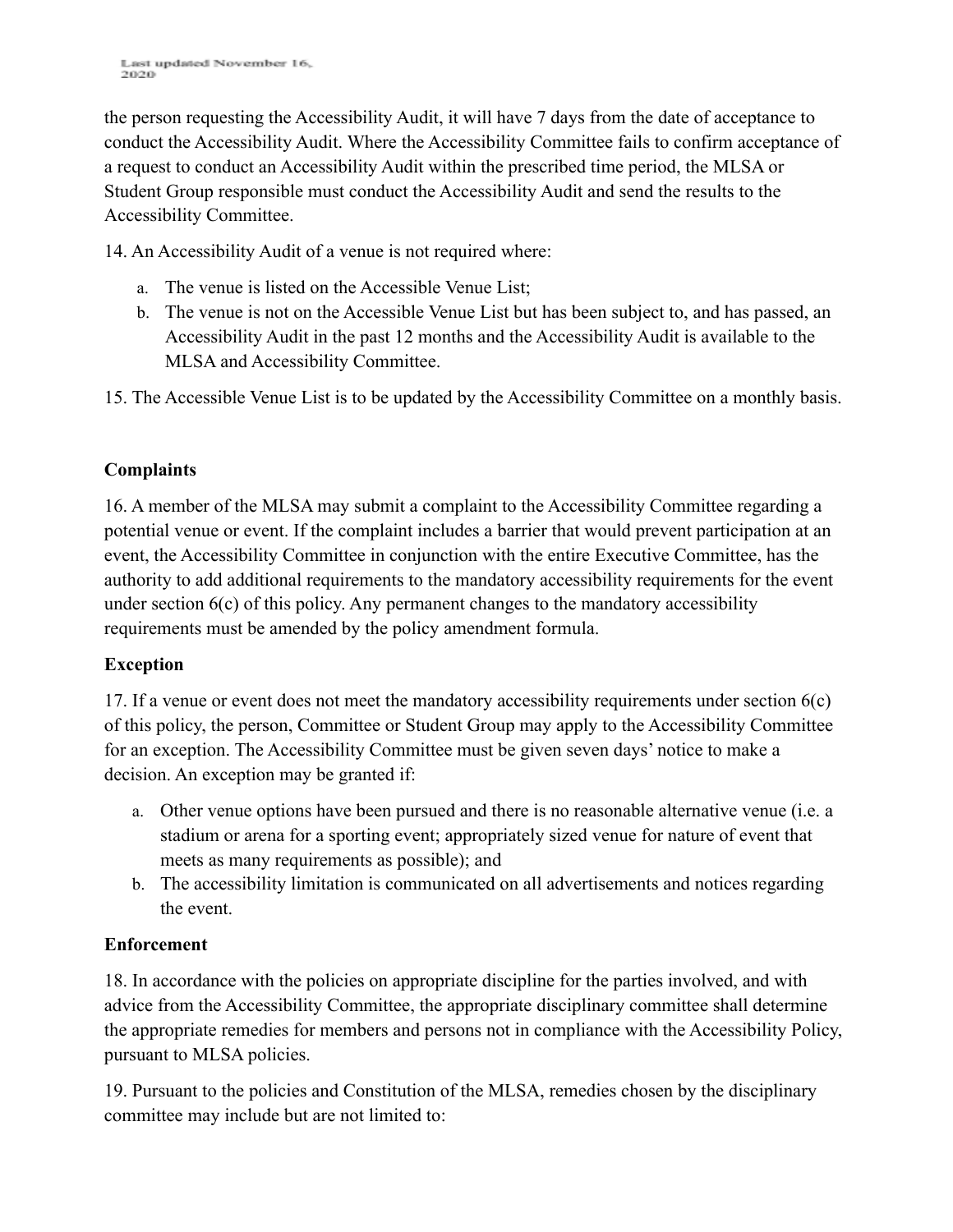the person requesting the Accessibility Audit, it will have 7 days from the date of acceptance to conduct the Accessibility Audit. Where the Accessibility Committee fails to confirm acceptance of a request to conduct an Accessibility Audit within the prescribed time period, the MLSA or Student Group responsible must conduct the Accessibility Audit and send the results to the Accessibility Committee.

14. An Accessibility Audit of a venue is not required where:

- a. The venue is listed on the Accessible Venue List;
- b. The venue is not on the Accessible Venue List but has been subject to, and has passed, an Accessibility Audit in the past 12 months and the Accessibility Audit is available to the MLSA and Accessibility Committee.

15. The Accessible Venue List is to be updated by the Accessibility Committee on a monthly basis.

#### **Complaints**

16. A member of the MLSA may submit a complaint to the Accessibility Committee regarding a potential venue or event. If the complaint includes a barrier that would prevent participation at an event, the Accessibility Committee in conjunction with the entire Executive Committee, has the authority to add additional requirements to the mandatory accessibility requirements for the event under section 6(c) of this policy. Any permanent changes to the mandatory accessibility requirements must be amended by the policy amendment formula.

#### **Exception**

17. If a venue or event does not meet the mandatory accessibility requirements under section 6(c) of this policy, the person, Committee or Student Group may apply to the Accessibility Committee for an exception. The Accessibility Committee must be given seven days' notice to make a decision. An exception may be granted if:

- a. Other venue options have been pursued and there is no reasonable alternative venue (i.e. a stadium or arena for a sporting event; appropriately sized venue for nature of event that meets as many requirements as possible); and
- b. The accessibility limitation is communicated on all advertisements and notices regarding the event.

#### **Enforcement**

18. In accordance with the policies on appropriate discipline for the parties involved, and with advice from the Accessibility Committee, the appropriate disciplinary committee shall determine the appropriate remedies for members and persons not in compliance with the Accessibility Policy, pursuant to MLSA policies.

19. Pursuant to the policies and Constitution of the MLSA, remedies chosen by the disciplinary committee may include but are not limited to: